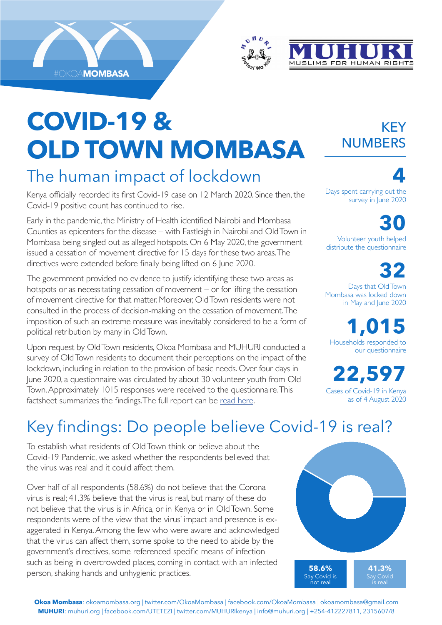





# **COVID-19 & OLD TOWN MOMBASA**

### The human impact of lockdown

Kenya officially recorded its first Covid-19 case on 12 March 2020. Since then, the Covid-19 positive count has continued to rise.

Early in the pandemic, the Ministry of Health identified Nairobi and Mombasa Counties as epicenters for the disease – with Eastleigh in Nairobi and Old Town in Mombasa being singled out as alleged hotspots. On 6 May 2020, the government issued a cessation of movement directive for 15 days for these two areas. The directives were extended before finally being lifted on 6 June 2020.

The government provided no evidence to justify identifying these two areas as hotspots or as necessitating cessation of movement – or for lifting the cessation of movement directive for that matter. Moreover, Old Town residents were not consulted in the process of decision-making on the cessation of movement. The imposition of such an extreme measure was inevitably considered to be a form of political retribution by many in Old Town.

Upon request by Old Town residents, Okoa Mombasa and MUHURI conducted a survey of Old Town residents to document their perceptions on the impact of the lockdown, including in relation to the provision of basic needs. Over four days in June 2020, a questionnaire was circulated by about 30 volunteer youth from Old Town. Approximately 1015 responses were received to the questionnaire. This factsheet summarizes the findings. The full report can be [read here](http://www.okoamombasa.org/news/old-town-covid-survey/).

#### KEY NUMBERS

**4** Days spent carrying out the survey in June 2020

**30** Volunteer youth helped distribute the questionnaire

**32** Days that Old Town Mombasa was locked down in May and June 2020

**1,015** Households responded to our questionnaire

**22,597** Cases of Covid-19 in Kenya as of 4 August 2020

## Key findings: Do people believe Covid-19 is real?

To establish what residents of Old Town think or believe about the Covid-19 Pandemic, we asked whether the respondents believed that the virus was real and it could affect them.

Over half of all respondents (58.6%) do not believe that the Corona virus is real; 41.3% believe that the virus is real, but many of these do not believe that the virus is in Africa, or in Kenya or in Old Town. Some respondents were of the view that the virus' impact and presence is exaggerated in Kenya. Among the few who were aware and acknowledged that the virus can affect them, some spoke to the need to abide by the government's directives, some referenced specific means of infection such as being in overcrowded places, coming in contact with an infected person, shaking hands and unhygienic practices. **58.6%**<br>Say Covid

Say Covid is not real **41.3%** Say Covid is real

**Okoa Mombasa**: okoamombasa.org | twitter.com/OkoaMombasa | facebook.com/OkoaMombasa | okoamombasa@gmail.com **MUHURI**: muhuri.org | facebook.com/UTETEZI | twitter.com/MUHURIkenya | info@muhuri.org | +254-412227811, 2315607/8